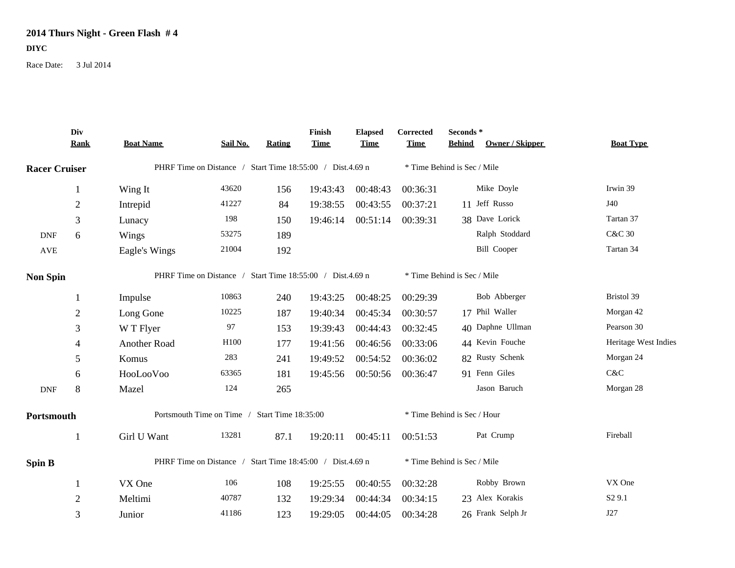## **2014 Thurs Night - Green Flash # 4 DIYC**

Race Date: 3 Jul 2014

|                      | Div<br><b>Rank</b> | <b>Boat Name</b>                                          | Sail No. | <b>Rating</b>               | Finish<br><b>Time</b>       | <b>Elapsed</b><br><b>Time</b> | Corrected<br><b>Time</b>    | Seconds*<br><b>Behind</b> | Owner / Skipper    | <b>Boat Type</b>     |
|----------------------|--------------------|-----------------------------------------------------------|----------|-----------------------------|-----------------------------|-------------------------------|-----------------------------|---------------------------|--------------------|----------------------|
| <b>Racer Cruiser</b> |                    | PHRF Time on Distance / Start Time 18:55:00 / Dist.4.69 n |          |                             |                             | * Time Behind is Sec / Mile   |                             |                           |                    |                      |
|                      | $\mathbf{1}$       | Wing It                                                   | 43620    | 156                         | 19:43:43                    | 00:48:43                      | 00:36:31                    |                           | Mike Doyle         | Irwin 39             |
|                      | $\overline{2}$     | Intrepid                                                  | 41227    | 84                          | 19:38:55                    | 00:43:55                      | 00:37:21                    |                           | 11 Jeff Russo      | J40                  |
|                      | 3                  | Lunacy                                                    | 198      | 150                         | 19:46:14                    | 00:51:14                      | 00:39:31                    |                           | 38 Dave Lorick     | Tartan 37            |
| <b>DNF</b>           | 6                  | Wings                                                     | 53275    | 189                         |                             |                               |                             |                           | Ralph Stoddard     | <b>C&amp;C 30</b>    |
| $\operatorname{AVE}$ |                    | Eagle's Wings                                             | 21004    | 192                         |                             |                               |                             |                           | <b>Bill Cooper</b> | Tartan 34            |
| <b>Non Spin</b>      |                    | PHRF Time on Distance / Start Time 18:55:00 / Dist.4.69 n |          |                             | * Time Behind is Sec / Mile |                               |                             |                           |                    |                      |
|                      |                    | Impulse                                                   | 10863    | 240                         | 19:43:25                    | 00:48:25                      | 00:29:39                    |                           | Bob Abberger       | Bristol 39           |
|                      | $\overline{2}$     | Long Gone                                                 | 10225    | 187                         | 19:40:34                    | 00:45:34                      | 00:30:57                    |                           | 17 Phil Waller     | Morgan 42            |
|                      | 3                  | W T Flyer                                                 | 97       | 153                         | 19:39:43                    | 00:44:43                      | 00:32:45                    |                           | 40 Daphne Ullman   | Pearson 30           |
|                      | 4                  | Another Road                                              | H100     | 177                         | 19:41:56                    | 00:46:56                      | 00:33:06                    |                           | 44 Kevin Fouche    | Heritage West Indies |
|                      | 5                  | Komus                                                     | 283      | 241                         | 19:49:52                    | 00:54:52                      | 00:36:02                    |                           | 82 Rusty Schenk    | Morgan 24            |
|                      | 6                  | HooLooVoo                                                 | 63365    | 181                         | 19:45:56                    | 00:50:56                      | 00:36:47                    |                           | 91 Fenn Giles      | C&C                  |
| <b>DNF</b>           | 8                  | Mazel                                                     | 124      | 265                         |                             |                               |                             |                           | Jason Baruch       | Morgan 28            |
| Portsmouth           |                    | Portsmouth Time on Time / Start Time 18:35:00             |          | * Time Behind is Sec / Hour |                             |                               |                             |                           |                    |                      |
|                      | $\mathbf{1}$       | Girl U Want                                               | 13281    | 87.1                        | 19:20:11                    | 00:45:11                      | 00:51:53                    |                           | Pat Crump          | Fireball             |
| Spin B               |                    | PHRF Time on Distance / Start Time 18:45:00 / Dist.4.69 n |          |                             |                             |                               | * Time Behind is Sec / Mile |                           |                    |                      |
|                      | -1                 | VX One                                                    | 106      | 108                         | 19:25:55                    | 00:40:55                      | 00:32:28                    |                           | Robby Brown        | VX One               |
|                      | $\overline{2}$     | Meltimi                                                   | 40787    | 132                         | 19:29:34                    | 00:44:34                      | 00:34:15                    |                           | 23 Alex Korakis    | S <sub>2</sub> 9.1   |
|                      | 3                  | Junior                                                    | 41186    | 123                         | 19:29:05                    | 00:44:05                      | 00:34:28                    |                           | 26 Frank Selph Jr  | J27                  |